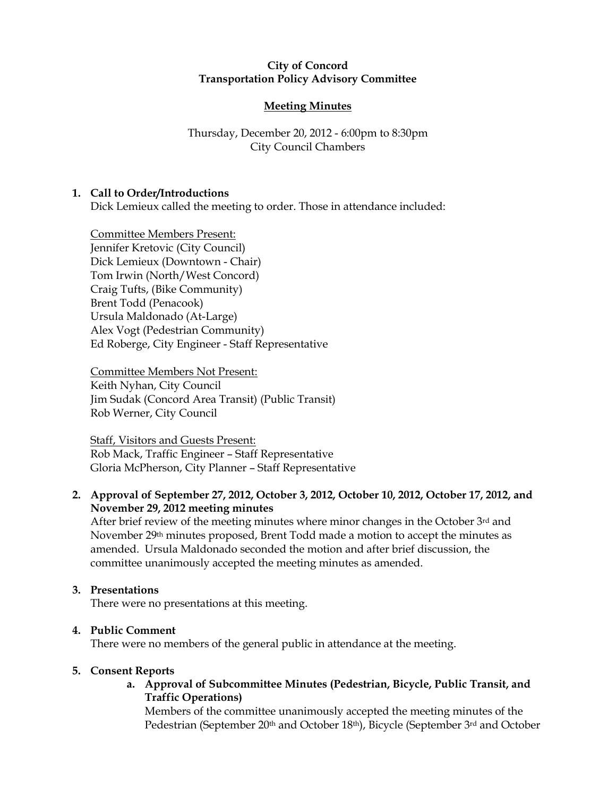## City of Concord Transportation Policy Advisory Committee

# Meeting Minutes

# Thursday, December 20, 2012 - 6:00pm to 8:30pm City Council Chambers

# 1. Call to Order/Introductions

Dick Lemieux called the meeting to order. Those in attendance included:

Committee Members Present: Jennifer Kretovic (City Council) Dick Lemieux (Downtown - Chair) Tom Irwin (North/West Concord) Craig Tufts, (Bike Community) Brent Todd (Penacook) Ursula Maldonado (At-Large) Alex Vogt (Pedestrian Community) Ed Roberge, City Engineer - Staff Representative

Committee Members Not Present: Keith Nyhan, City Council Jim Sudak (Concord Area Transit) (Public Transit) Rob Werner, City Council

Staff, Visitors and Guests Present: Rob Mack, Traffic Engineer – Staff Representative Gloria McPherson, City Planner – Staff Representative

# 2. Approval of September 27, 2012, October 3, 2012, October 10, 2012, October 17, 2012, and November 29, 2012 meeting minutes

After brief review of the meeting minutes where minor changes in the October 3rd and November 29<sup>th</sup> minutes proposed, Brent Todd made a motion to accept the minutes as amended. Ursula Maldonado seconded the motion and after brief discussion, the committee unanimously accepted the meeting minutes as amended.

### 3. Presentations

There were no presentations at this meeting.

### 4. Public Comment

There were no members of the general public in attendance at the meeting.

### 5. Consent Reports

# a. Approval of Subcommittee Minutes (Pedestrian, Bicycle, Public Transit, and Traffic Operations)

Members of the committee unanimously accepted the meeting minutes of the Pedestrian (September 20th and October 18th), Bicycle (September 3rd and October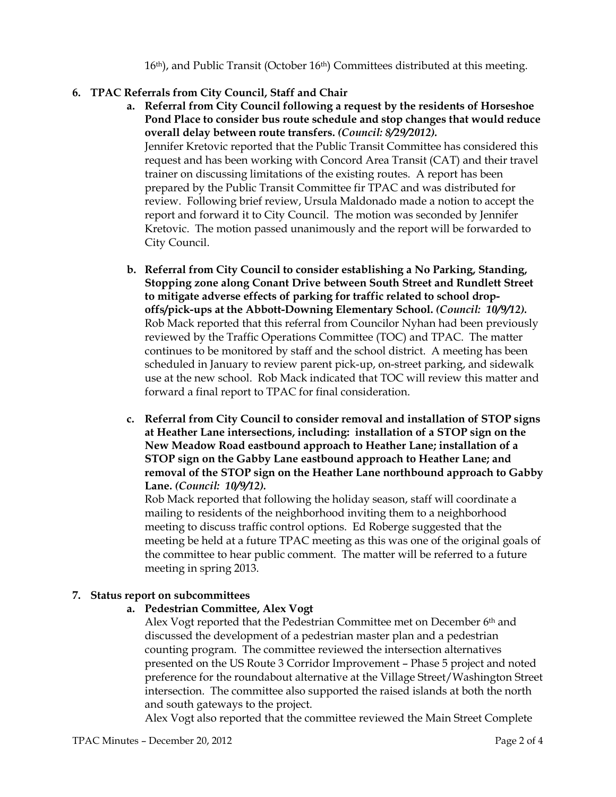16th), and Public Transit (October 16th) Committees distributed at this meeting.

# 6. TPAC Referrals from City Council, Staff and Chair

- a. Referral from City Council following a request by the residents of Horseshoe Pond Place to consider bus route schedule and stop changes that would reduce overall delay between route transfers. (Council: 8/29/2012). Jennifer Kretovic reported that the Public Transit Committee has considered this request and has been working with Concord Area Transit (CAT) and their travel trainer on discussing limitations of the existing routes. A report has been prepared by the Public Transit Committee fir TPAC and was distributed for review. Following brief review, Ursula Maldonado made a notion to accept the report and forward it to City Council. The motion was seconded by Jennifer Kretovic. The motion passed unanimously and the report will be forwarded to City Council.
- b. Referral from City Council to consider establishing a No Parking, Standing, Stopping zone along Conant Drive between South Street and Rundlett Street to mitigate adverse effects of parking for traffic related to school dropoffs/pick-ups at the Abbott-Downing Elementary School. (Council: 10/9/12). Rob Mack reported that this referral from Councilor Nyhan had been previously reviewed by the Traffic Operations Committee (TOC) and TPAC. The matter continues to be monitored by staff and the school district. A meeting has been scheduled in January to review parent pick-up, on-street parking, and sidewalk use at the new school. Rob Mack indicated that TOC will review this matter and forward a final report to TPAC for final consideration.
- c. Referral from City Council to consider removal and installation of STOP signs at Heather Lane intersections, including: installation of a STOP sign on the New Meadow Road eastbound approach to Heather Lane; installation of a STOP sign on the Gabby Lane eastbound approach to Heather Lane; and removal of the STOP sign on the Heather Lane northbound approach to Gabby Lane. (Council: 10/9/12).

Rob Mack reported that following the holiday season, staff will coordinate a mailing to residents of the neighborhood inviting them to a neighborhood meeting to discuss traffic control options. Ed Roberge suggested that the meeting be held at a future TPAC meeting as this was one of the original goals of the committee to hear public comment. The matter will be referred to a future meeting in spring 2013.

# 7. Status report on subcommittees

# a. Pedestrian Committee, Alex Vogt

Alex Vogt reported that the Pedestrian Committee met on December 6th and discussed the development of a pedestrian master plan and a pedestrian counting program. The committee reviewed the intersection alternatives presented on the US Route 3 Corridor Improvement – Phase 5 project and noted preference for the roundabout alternative at the Village Street/Washington Street intersection. The committee also supported the raised islands at both the north and south gateways to the project.

Alex Vogt also reported that the committee reviewed the Main Street Complete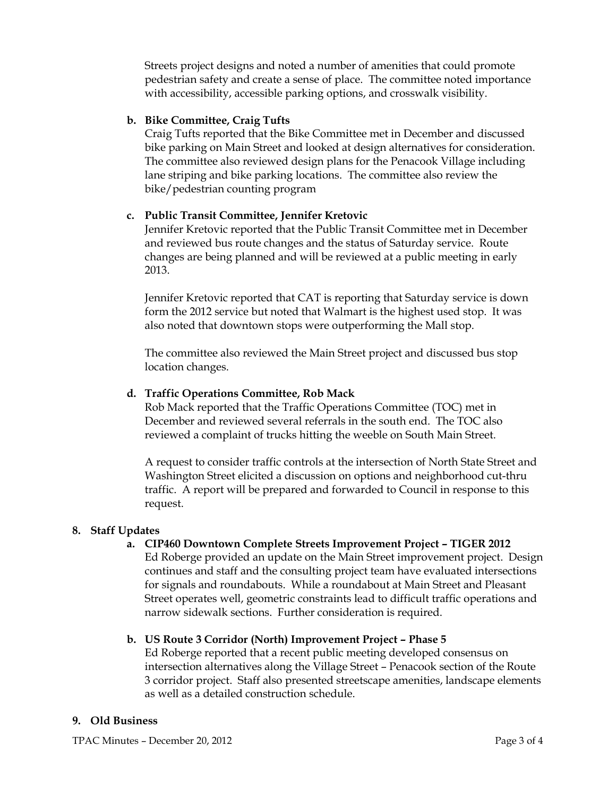Streets project designs and noted a number of amenities that could promote pedestrian safety and create a sense of place. The committee noted importance with accessibility, accessible parking options, and crosswalk visibility.

## b. Bike Committee, Craig Tufts

Craig Tufts reported that the Bike Committee met in December and discussed bike parking on Main Street and looked at design alternatives for consideration. The committee also reviewed design plans for the Penacook Village including lane striping and bike parking locations. The committee also review the bike/pedestrian counting program

# c. Public Transit Committee, Jennifer Kretovic

Jennifer Kretovic reported that the Public Transit Committee met in December and reviewed bus route changes and the status of Saturday service. Route changes are being planned and will be reviewed at a public meeting in early 2013.

Jennifer Kretovic reported that CAT is reporting that Saturday service is down form the 2012 service but noted that Walmart is the highest used stop. It was also noted that downtown stops were outperforming the Mall stop.

The committee also reviewed the Main Street project and discussed bus stop location changes.

## d. Traffic Operations Committee, Rob Mack

Rob Mack reported that the Traffic Operations Committee (TOC) met in December and reviewed several referrals in the south end. The TOC also reviewed a complaint of trucks hitting the weeble on South Main Street.

A request to consider traffic controls at the intersection of North State Street and Washington Street elicited a discussion on options and neighborhood cut-thru traffic. A report will be prepared and forwarded to Council in response to this request.

### 8. Staff Updates

### a. CIP460 Downtown Complete Streets Improvement Project – TIGER 2012

Ed Roberge provided an update on the Main Street improvement project. Design continues and staff and the consulting project team have evaluated intersections for signals and roundabouts. While a roundabout at Main Street and Pleasant Street operates well, geometric constraints lead to difficult traffic operations and narrow sidewalk sections. Further consideration is required.

# b. US Route 3 Corridor (North) Improvement Project – Phase 5

Ed Roberge reported that a recent public meeting developed consensus on intersection alternatives along the Village Street – Penacook section of the Route 3 corridor project. Staff also presented streetscape amenities, landscape elements as well as a detailed construction schedule.

### 9. Old Business